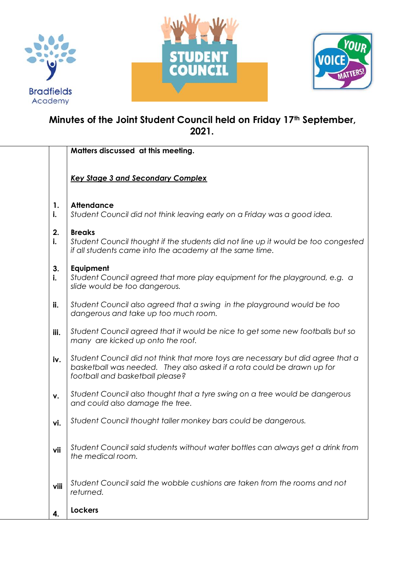





# **Minutes of the Joint Student Council held on Friday 17th September, 2021.**

|          | Matters discussed at this meeting.                                                                                                                                                           |
|----------|----------------------------------------------------------------------------------------------------------------------------------------------------------------------------------------------|
|          | <b>Key Stage 3 and Secondary Complex</b>                                                                                                                                                     |
| 1.<br>i. | <b>Attendance</b><br>Student Council did not think leaving early on a Friday was a good idea.                                                                                                |
| 2.<br>i. | <b>Breaks</b><br>Student Council thought if the students did not line up it would be too congested<br>if all students came into the academy at the same time.                                |
| 3.<br>i. | Equipment<br>Student Council agreed that more play equipment for the playground, e.g. a<br>slide would be too dangerous.                                                                     |
| ii.      | Student Council also agreed that a swing in the playground would be too<br>dangerous and take up too much room.                                                                              |
| iii.     | Student Council agreed that it would be nice to get some new footballs but so<br>many are kicked up onto the roof.                                                                           |
| iv.      | Student Council did not think that more toys are necessary but did agree that a<br>basketball was needed. They also asked if a rota could be drawn up for<br>football and basketball please? |
| ν.       | Student Council also thought that a tyre swing on a tree would be dangerous<br>and could also damage the tree.                                                                               |
| vi.      | Student Council thought taller monkey bars could be dangerous.                                                                                                                               |
| Vii      | Student Council said students without water bottles can always get a drink from<br>the medical room.                                                                                         |
| viii     | Student Council said the wobble cushions are taken from the rooms and not<br>returned.                                                                                                       |
| 4.       | <b>Lockers</b>                                                                                                                                                                               |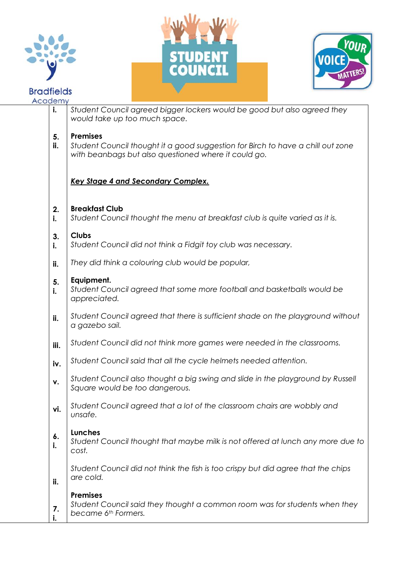





| Academy |           |                                                                                                                                                            |
|---------|-----------|------------------------------------------------------------------------------------------------------------------------------------------------------------|
|         | i.        | Student Council agreed bigger lockers would be good but also agreed they<br>would take up too much space.                                                  |
|         | 5.<br>ii. | <b>Premises</b><br>Student Council thought it a good suggestion for Birch to have a chill out zone<br>with beanbags but also questioned where it could go. |
|         |           | <b>Key Stage 4 and Secondary Complex.</b>                                                                                                                  |
|         | 2.<br>i.  | <b>Breakfast Club</b><br>Student Council thought the menu at breakfast club is quite varied as it is.                                                      |
|         | 3.<br>i.  | <b>Clubs</b><br>Student Council did not think a Fidgit toy club was necessary.                                                                             |
|         | ii.       | They did think a colouring club would be popular,                                                                                                          |
|         | 5.<br>i.  | Equipment.<br>Student Council agreed that some more football and basketballs would be<br>appreciated.                                                      |
|         | ii.       | Student Council agreed that there is sufficient shade on the playground without<br>a gazebo sail.                                                          |
|         | iii.      | Student Council did not think more games were needed in the classrooms.                                                                                    |
|         | iv.       | Student Council said that all the cycle helmets needed attention.                                                                                          |
|         | ٧.        | Student Council also thought a big swing and slide in the playground by Russell<br>Square would be too dangerous.                                          |
|         | vi.       | Student Council agreed that a lot of the classroom chairs are wobbly and<br>unsafe.                                                                        |
|         | 6.<br>i.  | <b>Lunches</b><br>Student Council thought that maybe milk is not offered at lunch any more due to<br>cost.                                                 |
|         | ii.       | Student Council did not think the fish is too crispy but did agree that the chips<br>are cold.                                                             |
|         | 7.        | <b>Premises</b><br>Student Council said they thought a common room was for students when they<br>became 6 <sup>th</sup> Formers.                           |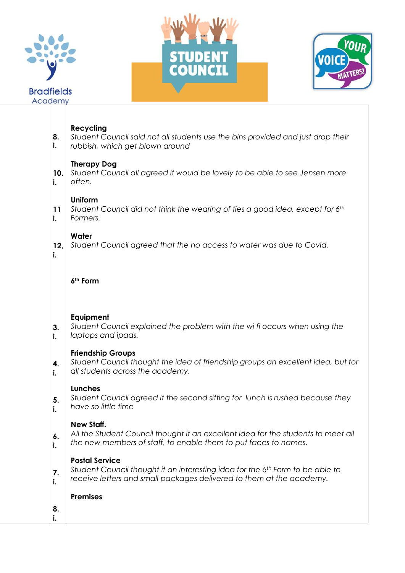





## **Recycling**

- **8.** *Student Council said not all students use the bins provided and just drop their*
- **i.** *rubbish, which get blown around*

#### **Therapy Dog**

**10. i.** *Student Council all agreed it would be lovely to be able to see Jensen more often.*

### **Uniform**

**11 i.** *Student Council did not think the wearing of ties a good idea, except for 6th Formers.* 

### **Water**

**i.**

**12,** *Student Council agreed that the no access to water was due to Covid.*

### **6th Form**

### **Equipment**

- **3.** *Student Council explained the problem with the wi fi occurs when using the*
- **i.** *laptops and ipads.*

### **Friendship Groups**

- **4.** *Student Council thought the idea of friendship groups an excellent idea, but for*
- **i.** *all students across the academy.*

### **Lunches**

**5. i.** *Student Council agreed it the second sitting for lunch is rushed because they have so little time*

### **New Staff.**

**6. i.** *All the Student Council thought it an excellent idea for the students to meet all the new members of staff, to enable them to put faces to names.* 

### **Postal Service**

**7. i.** *Student Council thought it an interesting idea for the 6th Form to be able to receive letters and small packages delivered to them at the academy.* 

### **Premises**

**8. i.**